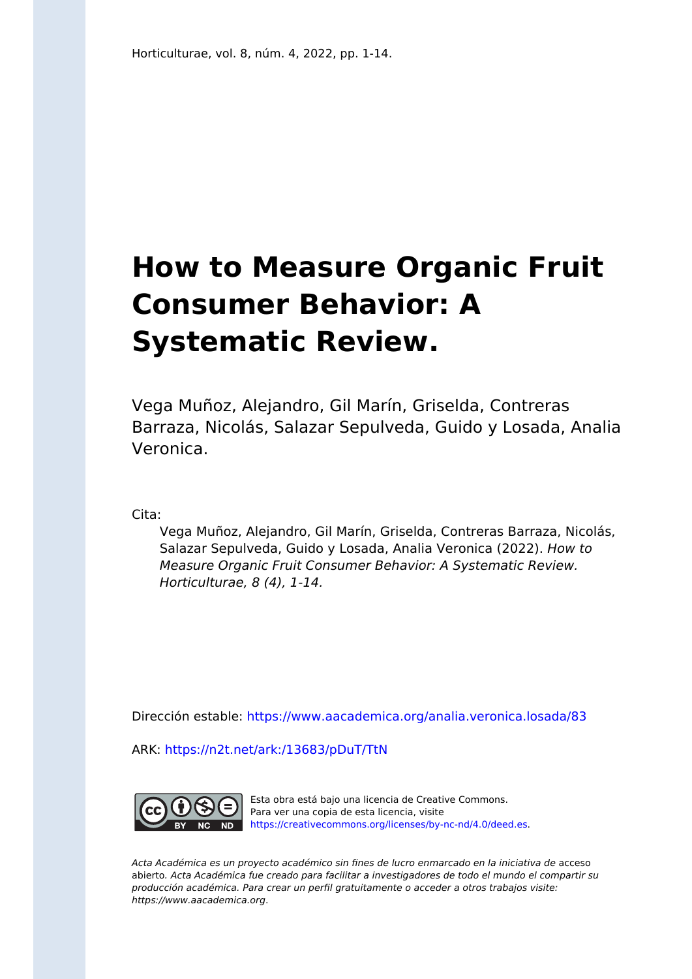# **How to Measure Organic Fruit Consumer Behavior: A Systematic Review.**

Vega Muñoz, Alejandro, Gil Marín, Griselda, Contreras Barraza, Nicolás, Salazar Sepulveda, Guido y Losada, Analia Veronica.

Cita:

Vega Muñoz, Alejandro, Gil Marín, Griselda, Contreras Barraza, Nicolás, Salazar Sepulveda, Guido y Losada, Analia Veronica (2022). How to Measure Organic Fruit Consumer Behavior: A Systematic Review. Horticulturae, 8 (4), 1-14.

Dirección estable:<https://www.aacademica.org/analia.veronica.losada/83>

ARK: <https://n2t.net/ark:/13683/pDuT/TtN>



Esta obra está bajo una licencia de Creative Commons. Para ver una copia de esta licencia, visite [https://creativecommons.org/licenses/by-nc-nd/4.0/deed.es.](https://creativecommons.org/licenses/by-nc-nd/4.0/deed.es)

Acta Académica es un proyecto académico sin fines de lucro enmarcado en la iniciativa de acceso abierto. Acta Académica fue creado para facilitar a investigadores de todo el mundo el compartir su producción académica. Para crear un perfil gratuitamente o acceder a otros trabajos visite: https://www.aacademica.org.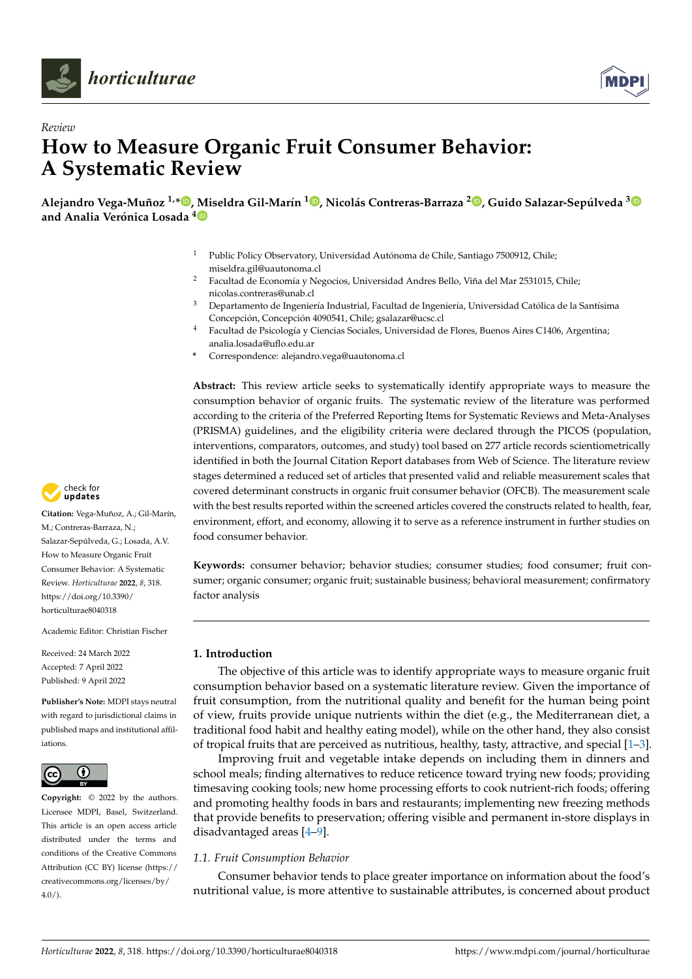



# *Review* **How to Measure Organic Fruit Consumer Behavior: A Systematic Review**

Alejandro Vega-Muñoz <sup>1,</sup>[\\*](https://orcid.org/0000-0002-9427-2044)®, [Mi](https://orcid.org/0000-0003-0488-4651)seldra Gil-Marín <sup>1</sup>®[,](https://orcid.org/0000-0001-6729-4398) Nicolás Contreras-Barraza <sup>2</sup>®, Guido Salazar-Sepúlveda <sup>[3](https://orcid.org/0000-0002-4979-6869)</sup> **and Analia Verónica Losada <sup>4</sup>**

- <sup>1</sup> Public Policy Observatory, Universidad Autónoma de Chile, Santiago 7500912, Chile; miseldra.gil@uautonoma.cl
- <sup>2</sup> Facultad de Economía y Negocios, Universidad Andres Bello, Viña del Mar 2531015, Chile; nicolas.contreras@unab.cl
- <sup>3</sup> Departamento de Ingeniería Industrial, Facultad de Ingeniería, Universidad Católica de la Santísima Concepción, Concepción 4090541, Chile; gsalazar@ucsc.cl
- <sup>4</sup> Facultad de Psicología y Ciencias Sociales, Universidad de Flores, Buenos Aires C1406, Argentina; analia.losada@uflo.edu.ar
- **\*** Correspondence: alejandro.vega@uautonoma.cl

**Abstract:** This review article seeks to systematically identify appropriate ways to measure the consumption behavior of organic fruits. The systematic review of the literature was performed according to the criteria of the Preferred Reporting Items for Systematic Reviews and Meta-Analyses (PRISMA) guidelines, and the eligibility criteria were declared through the PICOS (population, interventions, comparators, outcomes, and study) tool based on 277 article records scientiometrically identified in both the Journal Citation Report databases from Web of Science. The literature review stages determined a reduced set of articles that presented valid and reliable measurement scales that covered determinant constructs in organic fruit consumer behavior (OFCB). The measurement scale with the best results reported within the screened articles covered the constructs related to health, fear, environment, effort, and economy, allowing it to serve as a reference instrument in further studies on food consumer behavior.

**Keywords:** consumer behavior; behavior studies; consumer studies; food consumer; fruit consumer; organic consumer; organic fruit; sustainable business; behavioral measurement; confirmatory factor analysis

# **1. Introduction**

The objective of this article was to identify appropriate ways to measure organic fruit consumption behavior based on a systematic literature review. Given the importance of fruit consumption, from the nutritional quality and benefit for the human being point of view, fruits provide unique nutrients within the diet (e.g., the Mediterranean diet, a traditional food habit and healthy eating model), while on the other hand, they also consist of tropical fruits that are perceived as nutritious, healthy, tasty, attractive, and special [1–3].

Improving fruit and vegetable intake depends on including them in dinners and school meals; finding alternatives to reduce reticence toward trying new foods; providing timesaving cooking tools; new home processing efforts to cook nutrient-rich foods; offering and promoting healthy foods in bars and restaurants; implementing new freezing methods that provide benefits to preservation; offering visible and permanent in-store displays in disadvantaged areas [4–9].

# *1.1. Fruit Consumption Behavior*

Consumer behavior tends to place greater importance on information about the food's nutritional value, is more attentive to sustainable attributes, is concerned about product



**Citation:** Vega-Muñoz, A.; Gil-Marín, M.; Contreras-Barraza, N.; Salazar-Sepúlveda, G.; Losada, A.V. How to Measure Organic Fruit Consumer Behavior: A Systematic Review. *Horticulturae* **2022**, *8*, 318. [https://doi.org/10.3390/](https://doi.org/10.3390/horticulturae8040318) [horticulturae8040318](https://doi.org/10.3390/horticulturae8040318)

Academic Editor: Christian Fischer

Received: 24 March 2022 Accepted: 7 April 2022 Published: 9 April 2022

**Publisher's Note:** MDPI stays neutral with regard to jurisdictional claims in published maps and institutional affiliations.



**Copyright:** © 2022 by the authors. Licensee MDPI, Basel, Switzerland. This article is an open access article distributed under the terms and conditions of the Creative Commons Attribution (CC BY) license [\(https://](https://creativecommons.org/licenses/by/4.0/) [creativecommons.org/licenses/by/](https://creativecommons.org/licenses/by/4.0/)  $4.0/$ ).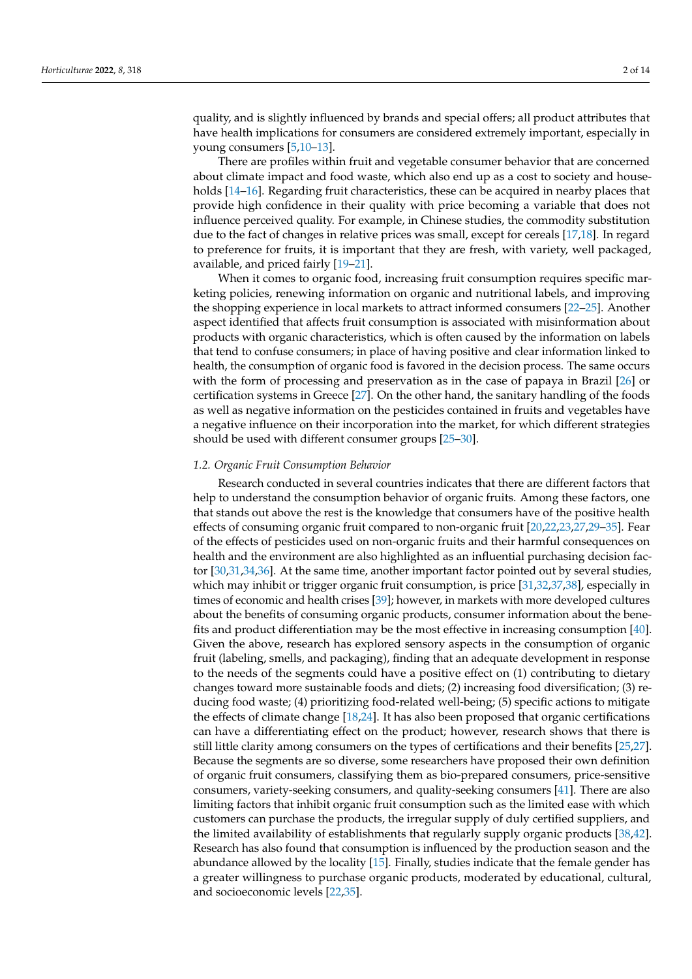quality, and is slightly influenced by brands and special offers; all product attributes that have health implications for consumers are considered extremely important, especially in young consumers [5,10–13].

There are profiles within fruit and vegetable consumer behavior that are concerned about climate impact and food waste, which also end up as a cost to society and households [14–16]. Regarding fruit characteristics, these can be acquired in nearby places that provide high confidence in their quality with price becoming a variable that does not influence perceived quality. For example, in Chinese studies, the commodity substitution due to the fact of changes in relative prices was small, except for cereals [17,18]. In regard to preference for fruits, it is important that they are fresh, with variety, well packaged, available, and priced fairly [19–21].

When it comes to organic food, increasing fruit consumption requires specific marketing policies, renewing information on organic and nutritional labels, and improving the shopping experience in local markets to attract informed consumers [22–25]. Another aspect identified that affects fruit consumption is associated with misinformation about products with organic characteristics, which is often caused by the information on labels that tend to confuse consumers; in place of having positive and clear information linked to health, the consumption of organic food is favored in the decision process. The same occurs with the form of processing and preservation as in the case of papaya in Brazil [26] or certification systems in Greece [27]. On the other hand, the sanitary handling of the foods as well as negative information on the pesticides contained in fruits and vegetables have a negative influence on their incorporation into the market, for which different strategies should be used with different consumer groups [25–30].

#### *1.2. Organic Fruit Consumption Behavior*

Research conducted in several countries indicates that there are different factors that help to understand the consumption behavior of organic fruits. Among these factors, one that stands out above the rest is the knowledge that consumers have of the positive health effects of consuming organic fruit compared to non-organic fruit [20,22,23,27,29–35]. Fear of the effects of pesticides used on non-organic fruits and their harmful consequences on health and the environment are also highlighted as an influential purchasing decision factor [30,31,34,36]. At the same time, another important factor pointed out by several studies, which may inhibit or trigger organic fruit consumption, is price [31,32,37,38], especially in times of economic and health crises [39]; however, in markets with more developed cultures about the benefits of consuming organic products, consumer information about the benefits and product differentiation may be the most effective in increasing consumption [40]. Given the above, research has explored sensory aspects in the consumption of organic fruit (labeling, smells, and packaging), finding that an adequate development in response to the needs of the segments could have a positive effect on (1) contributing to dietary changes toward more sustainable foods and diets; (2) increasing food diversification; (3) reducing food waste; (4) prioritizing food-related well-being; (5) specific actions to mitigate the effects of climate change [18,24]. It has also been proposed that organic certifications can have a differentiating effect on the product; however, research shows that there is still little clarity among consumers on the types of certifications and their benefits [25,27]. Because the segments are so diverse, some researchers have proposed their own definition of organic fruit consumers, classifying them as bio-prepared consumers, price-sensitive consumers, variety-seeking consumers, and quality-seeking consumers [41]. There are also limiting factors that inhibit organic fruit consumption such as the limited ease with which customers can purchase the products, the irregular supply of duly certified suppliers, and the limited availability of establishments that regularly supply organic products [38,42]. Research has also found that consumption is influenced by the production season and the abundance allowed by the locality [15]. Finally, studies indicate that the female gender has a greater willingness to purchase organic products, moderated by educational, cultural, and socioeconomic levels [22,35].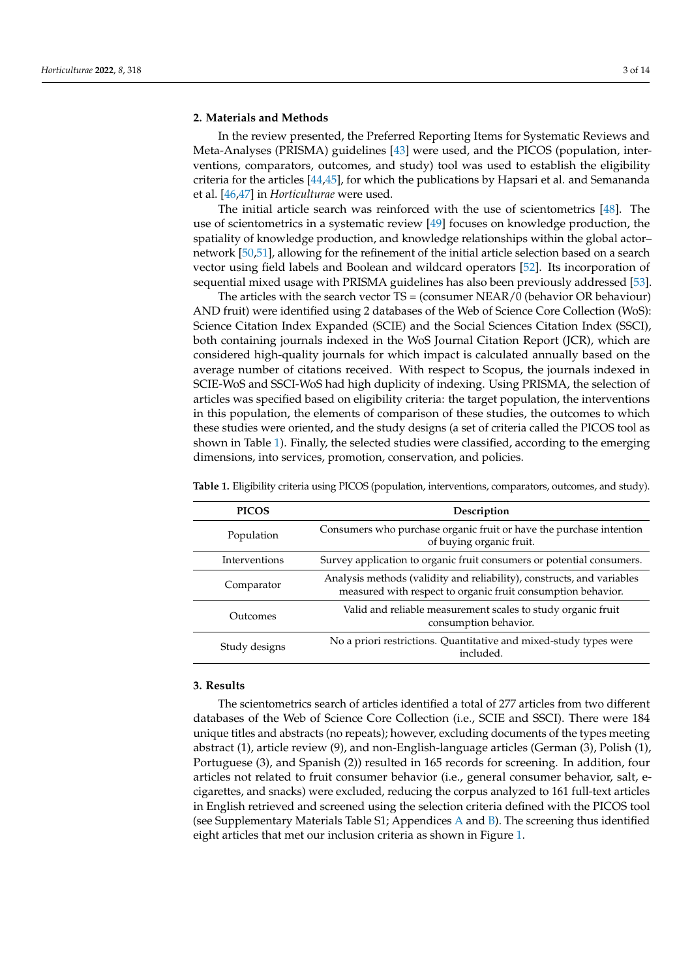#### **2. Materials and Methods**

In the review presented, the Preferred Reporting Items for Systematic Reviews and Meta-Analyses (PRISMA) guidelines [43] were used, and the PICOS (population, interventions, comparators, outcomes, and study) tool was used to establish the eligibility criteria for the articles [44,45], for which the publications by Hapsari et al. and Semananda et al. [46,47] in *Horticulturae* were used.

The initial article search was reinforced with the use of scientometrics [48]. The use of scientometrics in a systematic review [49] focuses on knowledge production, the spatiality of knowledge production, and knowledge relationships within the global actor– network [50,51], allowing for the refinement of the initial article selection based on a search vector using field labels and Boolean and wildcard operators [52]. Its incorporation of sequential mixed usage with PRISMA guidelines has also been previously addressed [53].

The articles with the search vector  $TS = (constant \, NEAR/0 \, (behavior \, OR \, behaviour)$ AND fruit) were identified using 2 databases of the Web of Science Core Collection (WoS): Science Citation Index Expanded (SCIE) and the Social Sciences Citation Index (SSCI), both containing journals indexed in the WoS Journal Citation Report (JCR), which are considered high-quality journals for which impact is calculated annually based on the average number of citations received. With respect to Scopus, the journals indexed in SCIE-WoS and SSCI-WoS had high duplicity of indexing. Using PRISMA, the selection of articles was specified based on eligibility criteria: the target population, the interventions in this population, the elements of comparison of these studies, the outcomes to which these studies were oriented, and the study designs (a set of criteria called the PICOS tool as shown in Table 1). Finally, the selected studies were classified, according to the emerging dimensions, into services, promotion, conservation, and policies.

| <b>PICOS</b>  | Description                                                                                                                            |
|---------------|----------------------------------------------------------------------------------------------------------------------------------------|
| Population    | Consumers who purchase organic fruit or have the purchase intention<br>of buying organic fruit.                                        |
| Interventions | Survey application to organic fruit consumers or potential consumers.                                                                  |
| Comparator    | Analysis methods (validity and reliability), constructs, and variables<br>measured with respect to organic fruit consumption behavior. |
| Outcomes      | Valid and reliable measurement scales to study organic fruit<br>consumption behavior.                                                  |
| Study designs | No a priori restrictions. Quantitative and mixed-study types were<br>included.                                                         |

**Table 1.** Eligibility criteria using PICOS (population, interventions, comparators, outcomes, and study).

# **3. Results**

The scientometrics search of articles identified a total of 277 articles from two different databases of the Web of Science Core Collection (i.e., SCIE and SSCI). There were 184 unique titles and abstracts (no repeats); however, excluding documents of the types meeting abstract (1), article review (9), and non-English-language articles (German (3), Polish (1), Portuguese (3), and Spanish (2)) resulted in 165 records for screening. In addition, four articles not related to fruit consumer behavior (i.e., general consumer behavior, salt, ecigarettes, and snacks) were excluded, reducing the corpus analyzed to 161 full-text articles in English retrieved and screened using the selection criteria defined with the PICOS tool (see Supplementary Materials Table S1; Appendices A and B). The screening thus identified eight articles that met our inclusion criteria as shown in Figure 1.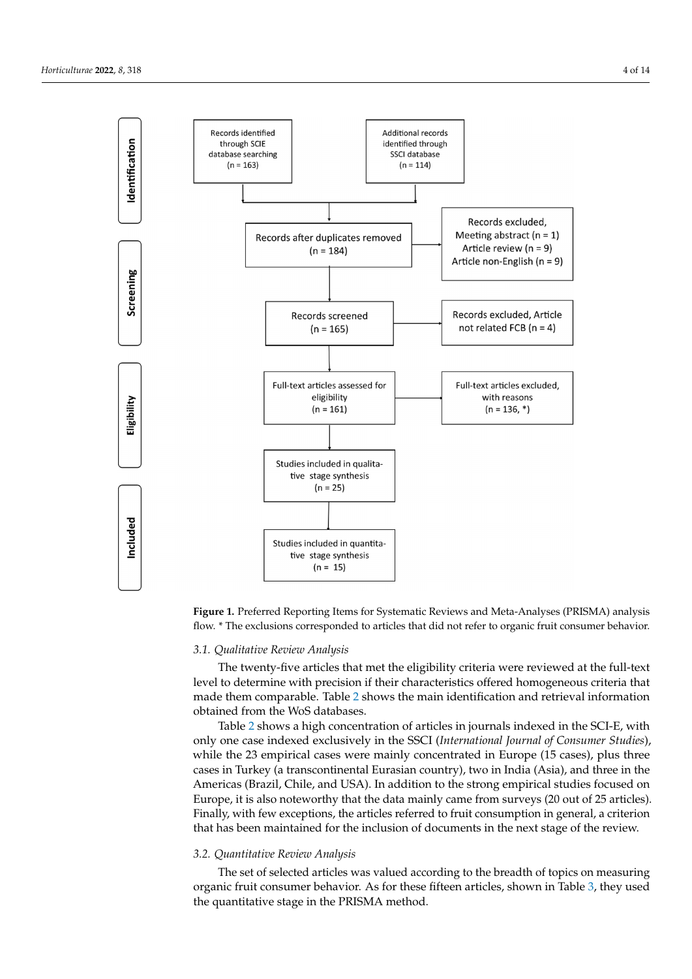

screening the thus identified eight articles that methods that methods that methods in  $\mathcal{S}$ 

**Figure 1.** Preferred Reporting Items for Systematic Reviews and Meta-Analyses (PRISMA) analy-**Figure 1.** Preferred Reporting Items for Systematic Reviews and Meta-Analyses (PRISMA) analysis Figure 1. Federica Reporting Reins for systematic Reviews and Red. Finallyses (Frushin) analyses<br>flow. \* The exclusions corresponded to articles that did not refer to organic fruit consumer behavior.

#### *3.1. Qualitative Review Analysis*

<sup>2</sup>. The twenty-five articles that met the eligibility criteria were reviewed at the full-text level to determine with precision if their characteristics offered homogeneous criteria that made them comparable. Table 2 shows the main identification and retrieval information obtained from the WoS databases.

Table 2 shows a high concentration of articles in journals indexed in the SCI-E, with while the 23 empirical cases were mainly concentrated in Europe (15 cases), plus three Americas (Brazil, Chile, and USA). In addition to the strong empirical studies focused on **Europe, it is also noteworthy that the data mainly came from surveys (20 out of 25 articles). Publica-Went to**  cases in Turkey (a transcontinental Eurasian country), two in India (Asia), and three in the Finally, with few exceptions, the articles referred to fruit consumption in general, a criterion only one case indexed exclusively in the SSCI (*International Journal of Consumer Studies*), that has been maintained for the inclusion of documents in the next stage of the review.

#### *3.2. Quantitative Review Analysis*

The set of selected articles was valued according to the breadth of topics on measuring organic fruit consumer behavior. As for these fifteen articles, shown in Table 3, they used the quantitative stage in the PRISMA method.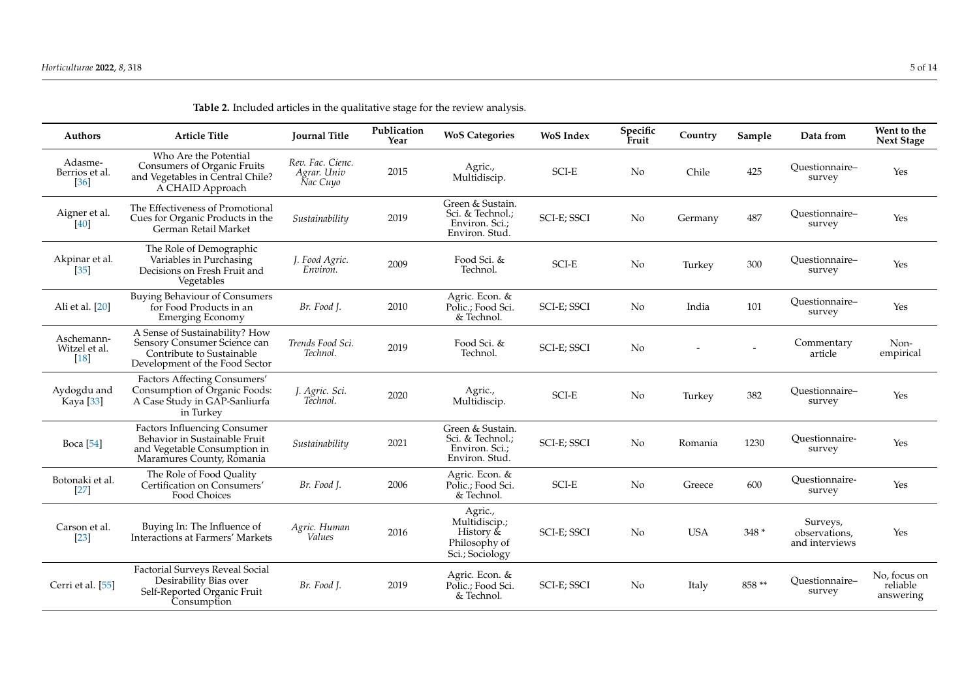| <b>Authors</b>                        | <b>Article Title</b>                                                                                                              | <b>Journal Title</b>                        | Publication<br>Year | <b>WoS Categories</b>                                                     | <b>WoS</b> Index | Specific<br>Fruit | Country    | Sample | Data from                                   | Went to the<br><b>Next Stage</b>      |
|---------------------------------------|-----------------------------------------------------------------------------------------------------------------------------------|---------------------------------------------|---------------------|---------------------------------------------------------------------------|------------------|-------------------|------------|--------|---------------------------------------------|---------------------------------------|
| Adasme-<br>Berrios et al.<br>$[36]$   | Who Are the Potential<br>Consumers of Organic Fruits<br>and Vegetables in Central Chile?<br>A CHAID Approach                      | Rev. Fac. Cienc.<br>Agrar. Univ<br>Nac Cuyo | 2015                | Agric.,<br>Multidiscip.                                                   | <b>SCI-E</b>     | N <sub>o</sub>    | Chile      | 425    | Ouestionnaire-<br>survey                    | Yes                                   |
| Aigner et al.<br>[40]                 | The Effectiveness of Promotional<br>Cues for Organic Products in the<br>German Retail Market                                      | Sustainability                              | 2019                | Green & Sustain.<br>Sci. & Technol.;<br>Environ. Sci.;<br>Environ. Stud.  | SCI-E; SSCI      | No                | Germany    | 487    | Ouestionnaire-<br>survey                    | Yes                                   |
| Akpinar et al.<br>$[35]$              | The Role of Demographic<br>Variables in Purchasing<br>Decisions on Fresh Fruit and<br>Vegetables                                  | J. Food Agric.<br>Environ.                  | 2009                | Food Sci. &<br>Technol.                                                   | SCI-E            | N <sub>o</sub>    | Turkey     | 300    | Questionnaire-<br>survey                    | Yes                                   |
| Ali et al. [20]                       | <b>Buying Behaviour of Consumers</b><br>for Food Products in an<br><b>Emerging Economy</b>                                        | Br. Food J.                                 | 2010                | Agric. Econ. &<br>Polic.; Food Sci.<br>& Technol.                         | SCI-E; SSCI      | N <sub>o</sub>    | India      | 101    | Ouestionnaire-<br>survey                    | Yes                                   |
| Aschemann-<br>Witzel et al.<br>$[18]$ | A Sense of Sustainability? How<br>Sensory Consumer Science can<br>Contribute to Sustainable<br>Development of the Food Sector     | Trends Food Sci.<br>Technol.                | 2019                | Food Sci. &<br>Technol.                                                   | SCI-E; SSCI      | N <sub>o</sub>    |            |        | Commentary<br>article                       | Non-<br>empirical                     |
| Aydogdu and<br>Kaya [33]              | Factors Affecting Consumers'<br>Consumption of Organic Foods:<br>A Case Study in GAP-Sanliurfa<br>in Turkey                       | J. Agric. Sci.<br>Technol.                  | 2020                | Agric.,<br>Multidiscip.                                                   | SCI-E            | N <sub>o</sub>    | Turkey     | 382    | Ouestionnaire-<br>survey                    | Yes                                   |
| <b>Boca</b> [54]                      | <b>Factors Influencing Consumer</b><br>Behavior in Sustainable Fruit<br>and Vegetable Consumption in<br>Maramures County, Romania | Sustainability                              | 2021                | Green & Sustain.<br>Sci. & Technol.;<br>Environ. Sci.:<br>Environ. Stud.  | SCI-E; SSCI      | No                | Romania    | 1230   | Ouestionnaire-<br>survey                    | Yes                                   |
| Botonaki et al.<br>$[27]$             | The Role of Food Quality<br>Certification on Consumers'<br>Food Choices                                                           | Br. Food J.                                 | 2006                | Agric. Econ. &<br>Polic.: Food Sci.<br>& Technol.                         | SCI-E            | N <sub>o</sub>    | Greece     | 600    | Ouestionnaire-<br>survey                    | Yes                                   |
| Carson et al.<br>$[23]$               | Buying In: The Influence of<br>Interactions at Farmers' Markets                                                                   | Agric. Human<br>Values                      | 2016                | Agric.,<br>Multidiscip.;<br>History &<br>Philosophy of<br>Sci.; Sociology | SCI-E; SSCI      | N <sub>o</sub>    | <b>USA</b> | $348*$ | Surveys,<br>observations.<br>and interviews | Yes                                   |
| Cerri et al. [55]                     | <b>Factorial Surveys Reveal Social</b><br>Desirability Bias over<br>Self-Reported Organic Fruit<br>Consumption                    | Br. Food J.                                 | 2019                | Agric. Econ. &<br>Polic.; Food Sci.<br>& Technol.                         | SCI-E; SSCI      | N <sub>o</sub>    | Italy      | 858 ** | Ouestionnaire-<br>survey                    | No, focus on<br>reliable<br>answering |

**Table 2.** Included articles in the qualitative stage for the review analysis.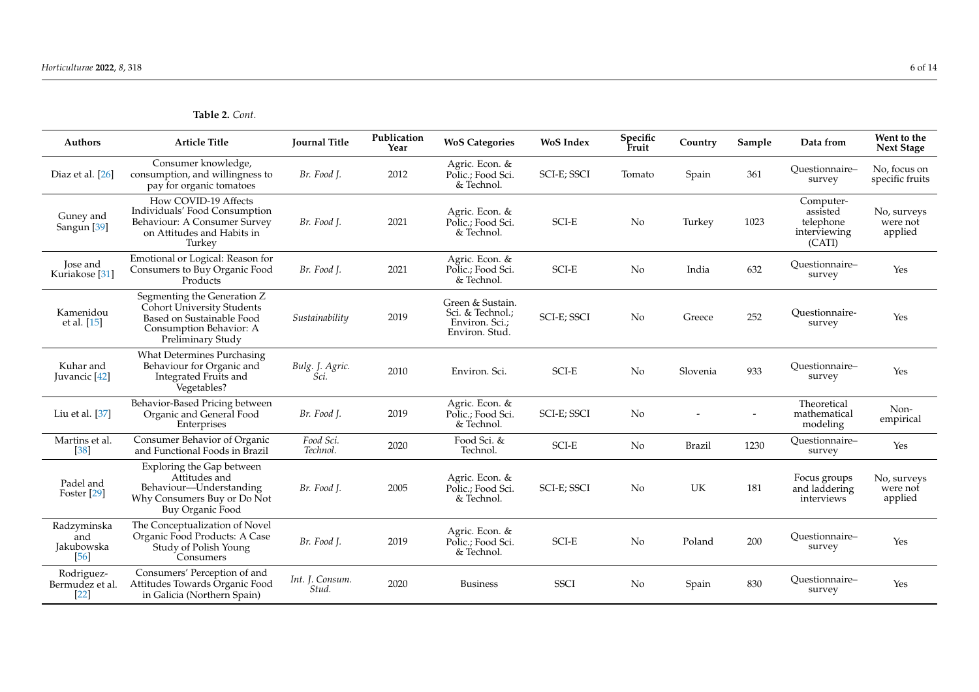**Table 2.** *Cont.*

| <b>Authors</b>                               | <b>Article Title</b>                                                                                                                   | <b>Journal Title</b>     | Publication<br>Year | <b>WoS Categories</b>                                                    | <b>WoS</b> Index       | Specific<br>Fruit | Country       | Sample | Data from                                                    | Went to the<br><b>Next Stage</b>   |
|----------------------------------------------|----------------------------------------------------------------------------------------------------------------------------------------|--------------------------|---------------------|--------------------------------------------------------------------------|------------------------|-------------------|---------------|--------|--------------------------------------------------------------|------------------------------------|
| Diaz et al. [26]                             | Consumer knowledge,<br>consumption, and willingness to<br>pay for organic tomatoes                                                     | Br. Food J.              | 2012                | Agric. Econ. &<br>Polic.; Food Sci.<br>& Technol.                        | SCI-E; SSCI            | Tomato            | Spain         | 361    | Ouestionnaire-<br>survey                                     | No. focus on<br>specific fruits    |
| Guney and<br>Sangun <sup>[39]</sup>          | How COVID-19 Affects<br>Individuals' Food Consumption<br>Behaviour: A Consumer Survey<br>on Attitudes and Habits in<br>Turkey          | Br. Food J.              | 2021                | Agric. Econ. &<br>Polic.; Food Sci.<br>& Technol.                        | SCI-E                  | No                | Turkey        | 1023   | Computer-<br>assisted<br>telephone<br>interviewing<br>(CATI) | No, surveys<br>were not<br>applied |
| <b>Jose</b> and<br>Kuriakose <sup>[31]</sup> | Emotional or Logical: Reason for<br>Consumers to Buy Organic Food<br>Products                                                          | Br. Food J.              | 2021                | Agric. Econ. &<br>Polic.: Food Sci.<br>& Technol.                        | $\operatorname{SCI-E}$ | No                | India         | 632    | Ouestionnaire-<br>survey                                     | Yes                                |
| Kamenidou<br>et al. [15]                     | Segmenting the Generation Z<br>Cohort University Students<br>Based on Sustainable Food<br>Consumption Behavior: A<br>Preliminary Study | Sustainability           | 2019                | Green & Sustain.<br>Sci. & Technol.;<br>Environ. Sci.:<br>Environ. Stud. | SCI-E; SSCI            | <b>No</b>         | Greece        | 252    | Ouestionnaire-<br>survey                                     | Yes                                |
| Kuhar and<br>Juvancic [42]                   | <b>What Determines Purchasing</b><br>Behaviour for Organic and<br>Integrated Fruits and<br>Vegetables?                                 | Bulg. J. Agric.<br>Sci.  | 2010                | Environ. Sci.                                                            | SCI-E                  | No                | Slovenia      | 933    | Ouestionnaire-<br>survey                                     | Yes                                |
| Liu et al. [37]                              | Behavior-Based Pricing between<br>Organic and General Food<br>Enterprises                                                              | Br. Food J.              | 2019                | Agric. Econ. &<br>Polic.; Food Sci.<br>& Technol.                        | SCI-E; SSCI            | $\rm No$          |               |        | Theoretical<br>mathematical<br>modeling                      | Non-<br>empirical                  |
| Martins et al.<br>$[38]$                     | Consumer Behavior of Organic<br>and Functional Foods in Brazil                                                                         | Food Sci.<br>Technol.    | 2020                | Food Sci. &<br>Technol.                                                  | SCI-E                  | No.               | <b>Brazil</b> | 1230   | Questionnaire-<br>survey                                     | Yes                                |
| Padel and<br>Foster [29]                     | Exploring the Gap between<br>Attitudes and<br>Behaviour-Understanding<br>Why Consumers Buy or Do Not<br>Buy Organic Food               | Br. Food J.              | 2005                | Agric. Econ. &<br>Polic.: Food Sci.<br>& Technol.                        | SCI-E; SSCI            | <b>No</b>         | UK            | 181    | Focus groups<br>and laddering<br>interviews                  | No, surveys<br>were not<br>applied |
| Radzyminska<br>and<br>Jakubowska<br>[56]     | The Conceptualization of Novel<br>Organic Food Products: A Case<br>Study of Polish Young<br><b>Consumers</b>                           | Br. Food J.              | 2019                | Agric. Econ. &<br>Polic.; Food Sci.<br>& Technol.                        | $\operatorname{SCI-E}$ | No                | Poland        | 200    | Ouestionnaire-<br>survey                                     | Yes                                |
| Rodriguez-<br>Bermudez et al.<br>$[22]$      | Consumers' Perception of and<br>Attitudes Towards Organic Food<br>in Galicia (Northern Spain)                                          | Int. J. Consum.<br>Stud. | 2020                | <b>Business</b>                                                          | <b>SSCI</b>            | No                | Spain         | 830    | Questionnaire-<br>survey                                     | Yes                                |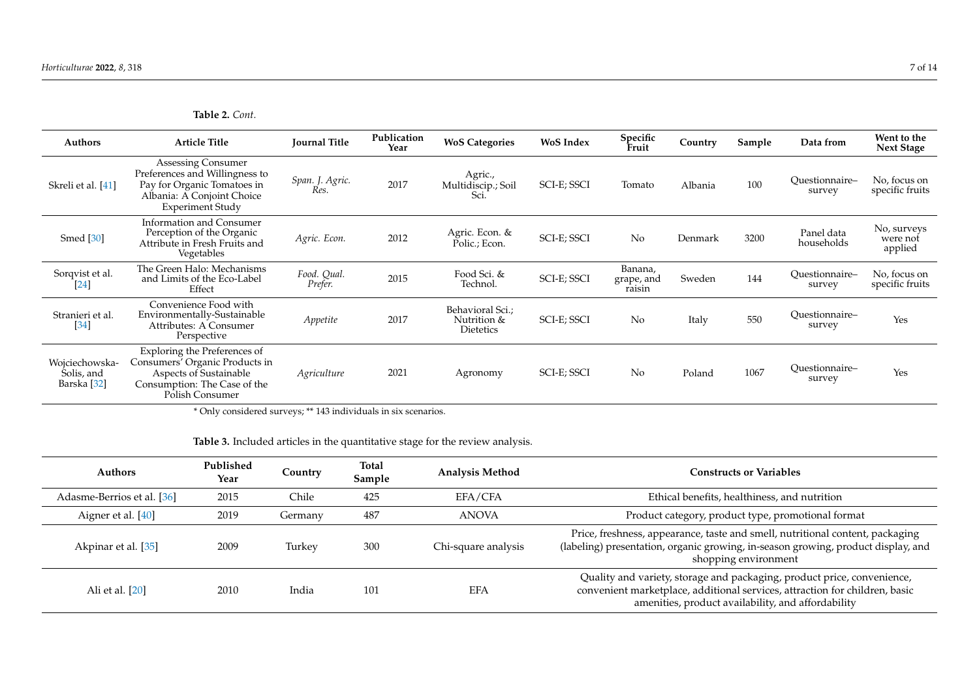**Table 2.** *Cont.*

| <b>Authors</b>                              | <b>Article Title</b>                                                                                                                               | <b>Journal Title</b>    | Publication<br>Year | <b>WoS Categories</b>                               | <b>WoS</b> Index | Specific<br>Fruit               | Country | Sample | Data from                | Went to the<br><b>Next Stage</b>   |
|---------------------------------------------|----------------------------------------------------------------------------------------------------------------------------------------------------|-------------------------|---------------------|-----------------------------------------------------|------------------|---------------------------------|---------|--------|--------------------------|------------------------------------|
| Skreli et al. [41]                          | Assessing Consumer<br>Preferences and Willingness to<br>Pay for Organic Tomatoes in<br>Albania: A Conjoint Choice<br><b>Experiment Study</b>       | Span. J. Agric.<br>Res. | 2017                | Agric.,<br>Multidiscip.; Soil<br>Sci.               | SCI-E; SSCI      | Tomato                          | Albania | 100    | Questionnaire-<br>survey | No, focus on<br>specific fruits    |
| Smed <sup>[30]</sup>                        | <b>Information and Consumer</b><br>Perception of the Organic<br>Attribute in Fresh Fruits and<br>Vegetables                                        | Agric. Econ.            | 2012                | Agric. Econ. &<br>Polic.; Econ.                     | SCI-E; SSCI      | No                              | Denmark | 3200   | Panel data<br>households | No, surveys<br>were not<br>applied |
| Sorqvist et al.<br>[24]                     | The Green Halo: Mechanisms<br>and Limits of the Eco-Label<br>Effect                                                                                | Food. Qual.<br>Prefer.  | 2015                | Food Sci. &<br>Technol.                             | SCI-E; SSCI      | Banana,<br>grape, and<br>raisin | Sweden  | 144    | Ouestionnaire-<br>survey | No, focus on<br>specific fruits    |
| Stranieri et al.<br>$[34]$                  | Convenience Food with<br>Environmentally-Sustainable<br>Attributes: A Consumer<br>Perspective                                                      | Appetite                | 2017                | Behavioral Sci.;<br>Nutrition &<br><b>Dietetics</b> | SCI-E; SSCI      | No                              | Italy   | 550    | Ouestionnaire-<br>survey | Yes                                |
| Wojciechowska-<br>Solis, and<br>Barska [32] | Exploring the Preferences of<br>Consumers' Organic Products in<br><b>Aspects of Sustainable</b><br>Consumption: The Case of the<br>Polish Consumer | Agriculture             | 2021                | Agronomy                                            | SCI-E; SSCI      | No                              | Poland  | 1067   | Ouestionnaire-<br>survey | Yes                                |

\* Only considered surveys; \*\* 143 individuals in six scenarios.

**Table 3.** Included articles in the quantitative stage for the review analysis.

| <b>Authors</b>             | Published<br>Year | Country | Total<br>Sample | <b>Analysis Method</b> | <b>Constructs or Variables</b>                                                                                                                                                                               |
|----------------------------|-------------------|---------|-----------------|------------------------|--------------------------------------------------------------------------------------------------------------------------------------------------------------------------------------------------------------|
| Adasme-Berrios et al. [36] | 2015              | Chile   | 425             | EFA/CFA                | Ethical benefits, healthiness, and nutrition                                                                                                                                                                 |
| Aigner et al. $[40]$       | 2019              | Germany | 487             | <b>ANOVA</b>           | Product category, product type, promotional format                                                                                                                                                           |
| Akpinar et al. [35]        | 2009              | Turkev  | 300             | Chi-square analysis    | Price, freshness, appearance, taste and smell, nutritional content, packaging<br>(labeling) presentation, organic growing, in-season growing, product display, and<br>shopping environment                   |
| Ali et al. [20]            | 2010              | India   | 101             | <b>EFA</b>             | Quality and variety, storage and packaging, product price, convenience,<br>convenient marketplace, additional services, attraction for children, basic<br>amenities, product availability, and affordability |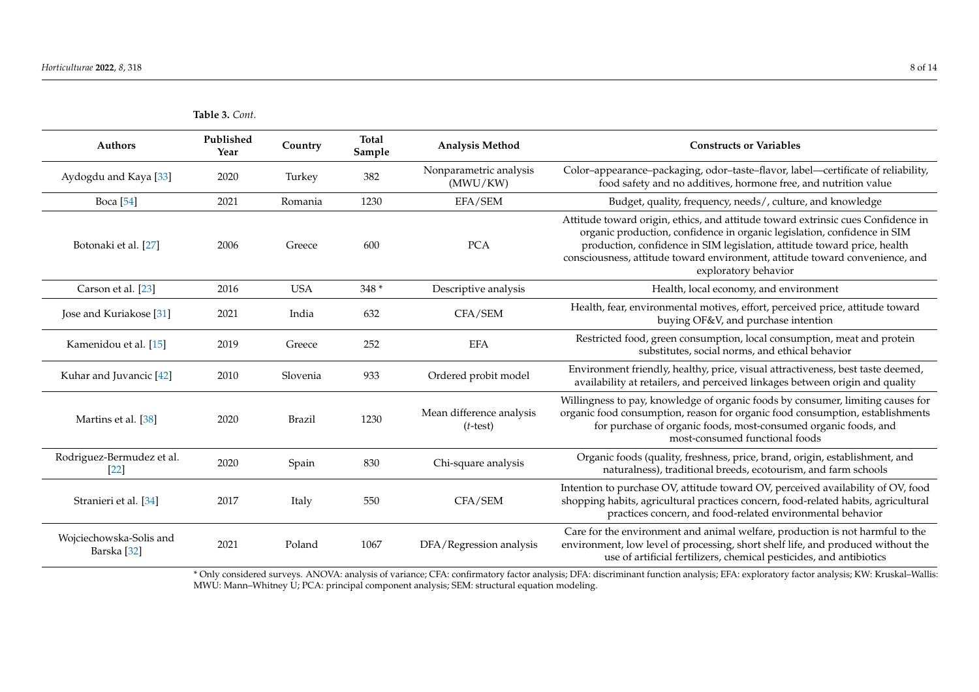|                                                   | Table 3. Cont.    |               |                        |                                         |                                                                                                                                                                                                                                                                                                                                                  |
|---------------------------------------------------|-------------------|---------------|------------------------|-----------------------------------------|--------------------------------------------------------------------------------------------------------------------------------------------------------------------------------------------------------------------------------------------------------------------------------------------------------------------------------------------------|
| Authors                                           | Published<br>Year | Country       | <b>Total</b><br>Sample | <b>Analysis Method</b>                  | <b>Constructs or Variables</b>                                                                                                                                                                                                                                                                                                                   |
| Aydogdu and Kaya [33]                             | 2020              | Turkey        | 382                    | Nonparametric analysis<br>(MWU/KW)      | Color-appearance-packaging, odor-taste-flavor, label-certificate of reliability,<br>food safety and no additives, hormone free, and nutrition value                                                                                                                                                                                              |
| <b>Boca</b> [54]                                  | 2021              | Romania       | 1230                   | EFA/SEM                                 | Budget, quality, frequency, needs/, culture, and knowledge                                                                                                                                                                                                                                                                                       |
| Botonaki et al. [27]                              | 2006              | Greece        | 600                    | <b>PCA</b>                              | Attitude toward origin, ethics, and attitude toward extrinsic cues Confidence in<br>organic production, confidence in organic legislation, confidence in SIM<br>production, confidence in SIM legislation, attitude toward price, health<br>consciousness, attitude toward environment, attitude toward convenience, and<br>exploratory behavior |
| Carson et al. [23]                                | 2016              | <b>USA</b>    | $348*$                 | Descriptive analysis                    | Health, local economy, and environment                                                                                                                                                                                                                                                                                                           |
| Jose and Kuriakose [31]                           | 2021              | India         | 632                    | CFA/SEM                                 | Health, fear, environmental motives, effort, perceived price, attitude toward<br>buying OF&V, and purchase intention                                                                                                                                                                                                                             |
| Kamenidou et al. [15]                             | 2019              | Greece        | 252                    | <b>EFA</b>                              | Restricted food, green consumption, local consumption, meat and protein<br>substitutes, social norms, and ethical behavior                                                                                                                                                                                                                       |
| Kuhar and Juvancic [42]                           | 2010              | Slovenia      | 933                    | Ordered probit model                    | Environment friendly, healthy, price, visual attractiveness, best taste deemed,<br>availability at retailers, and perceived linkages between origin and quality                                                                                                                                                                                  |
| Martins et al. [38]                               | 2020              | <b>Brazil</b> | 1230                   | Mean difference analysis<br>$(t$ -test) | Willingness to pay, knowledge of organic foods by consumer, limiting causes for<br>organic food consumption, reason for organic food consumption, establishments<br>for purchase of organic foods, most-consumed organic foods, and<br>most-consumed functional foods                                                                            |
| Rodriguez-Bermudez et al.<br>$[22]$               | 2020              | Spain         | 830                    | Chi-square analysis                     | Organic foods (quality, freshness, price, brand, origin, establishment, and<br>naturalness), traditional breeds, ecotourism, and farm schools                                                                                                                                                                                                    |
| Stranieri et al. [34]                             | 2017              | Italy         | 550                    | CFA/SEM                                 | Intention to purchase OV, attitude toward OV, perceived availability of OV, food<br>shopping habits, agricultural practices concern, food-related habits, agricultural<br>practices concern, and food-related environmental behavior                                                                                                             |
| Wojciechowska-Solis and<br>Barska <sup>[32]</sup> | 2021              | Poland        | 1067                   | DFA/Regression analysis                 | Care for the environment and animal welfare, production is not harmful to the<br>environment, low level of processing, short shelf life, and produced without the<br>use of artificial fertilizers, chemical pesticides, and antibiotics                                                                                                         |

\* Only considered surveys. ANOVA: analysis of variance; CFA: confirmatory factor analysis; DFA: discriminant function analysis; EFA: exploratory factor analysis; KW: Kruskal–Wallis: MWU: Mann–Whitney U; PCA: principal component analysis; SEM: structural equation modeling.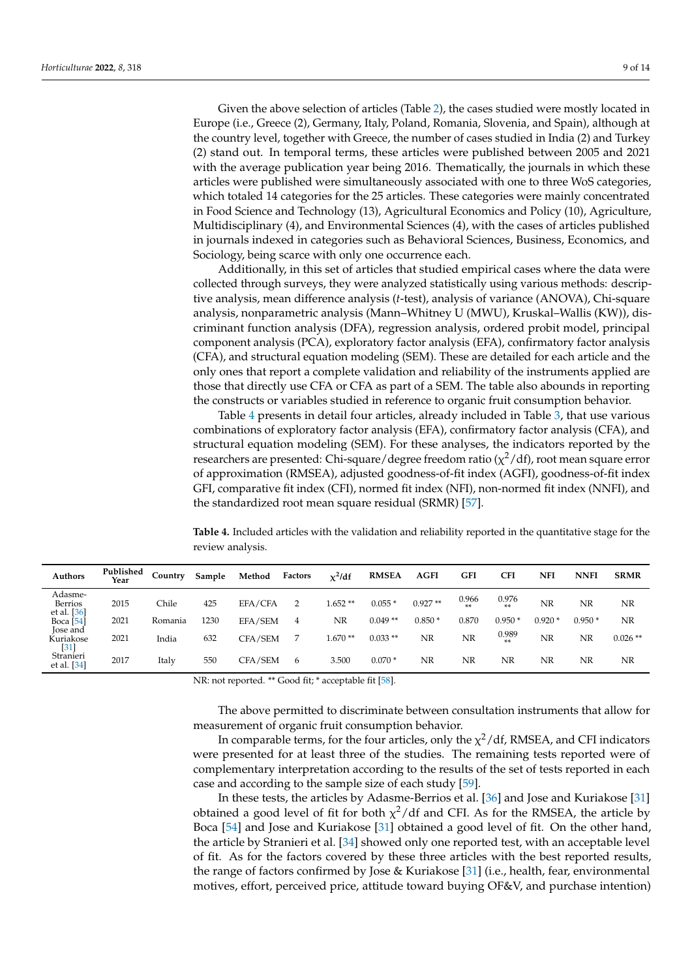Given the above selection of articles (Table 2), the cases studied were mostly located in Europe (i.e., Greece (2), Germany, Italy, Poland, Romania, Slovenia, and Spain), although at the country level, together with Greece, the number of cases studied in India (2) and Turkey (2) stand out. In temporal terms, these articles were published between 2005 and 2021 with the average publication year being 2016. Thematically, the journals in which these articles were published were simultaneously associated with one to three WoS categories, which totaled 14 categories for the 25 articles. These categories were mainly concentrated in Food Science and Technology (13), Agricultural Economics and Policy (10), Agriculture, Multidisciplinary (4), and Environmental Sciences (4), with the cases of articles published in journals indexed in categories such as Behavioral Sciences, Business, Economics, and Sociology, being scarce with only one occurrence each.

Additionally, in this set of articles that studied empirical cases where the data were collected through surveys, they were analyzed statistically using various methods: descriptive analysis, mean difference analysis (*t*-test), analysis of variance (ANOVA), Chi-square analysis, nonparametric analysis (Mann–Whitney U (MWU), Kruskal–Wallis (KW)), discriminant function analysis (DFA), regression analysis, ordered probit model, principal component analysis (PCA), exploratory factor analysis (EFA), confirmatory factor analysis (CFA), and structural equation modeling (SEM). These are detailed for each article and the only ones that report a complete validation and reliability of the instruments applied are those that directly use CFA or CFA as part of a SEM. The table also abounds in reporting the constructs or variables studied in reference to organic fruit consumption behavior.

Table 4 presents in detail four articles, already included in Table 3, that use various combinations of exploratory factor analysis (EFA), confirmatory factor analysis (CFA), and structural equation modeling (SEM). For these analyses, the indicators reported by the researchers are presented: Chi-square/degree freedom ratio ( $\chi^2/\text{df}$ ), root mean square error of approximation (RMSEA), adjusted goodness-of-fit index (AGFI), goodness-of-fit index GFI, comparative fit index (CFI), normed fit index (NFI), non-normed fit index (NNFI), and the standardized root mean square residual (SRMR) [57].

**Table 4.** Included articles with the validation and reliability reported in the quantitative stage for the review analysis.

| Authors                           | Published<br>Year | Country | Sample | Method  | Factors        | $x^2$ /df | <b>RMSEA</b> | <b>AGFI</b> | GFI           | <b>CFI</b>    | NFI      | <b>NNFI</b> | <b>SRMR</b> |
|-----------------------------------|-------------------|---------|--------|---------|----------------|-----------|--------------|-------------|---------------|---------------|----------|-------------|-------------|
| Adasme-<br>Berrios<br>et al. [36] | 2015              | Chile   | 425    | EFA/CFA | $\overline{2}$ | $1.652**$ | $0.055*$     | $0.927**$   | 0.966<br>$**$ | 0.976<br>**   | NR       | NR          | NR          |
| Boca [54]                         | 2021              | Romania | 1230   | EFA/SEM | 4              | NR        | $0.049**$    | $0.850*$    | 0.870         | $0.950*$      | $0.920*$ | $0.950*$    | NR          |
| lose and<br>Kuriakose<br>$[31]$   | 2021              | India   | 632    | CFA/SEM | 7              | $1.670**$ | $0.033**$    | NR          | NR            | 0.989<br>$**$ | NR       | NR          | $0.026**$   |
| Stranieri<br>et al. [34]          | 2017              | Italy   | 550    | CFA/SEM | $\mathbf{6}$   | 3.500     | $0.070*$     | NR          | NR            | NR            | NR       | NR          | NR          |

NR: not reported. \*\* Good fit; \* acceptable fit [58].

The above permitted to discriminate between consultation instruments that allow for measurement of organic fruit consumption behavior.

In comparable terms, for the four articles, only the  $\chi^2/df$ , RMSEA, and CFI indicators were presented for at least three of the studies. The remaining tests reported were of complementary interpretation according to the results of the set of tests reported in each case and according to the sample size of each study [59].

In these tests, the articles by Adasme-Berrios et al. [36] and Jose and Kuriakose [31] obtained a good level of fit for both  $\chi^2$ /df and CFI. As for the RMSEA, the article by Boca [54] and Jose and Kuriakose [31] obtained a good level of fit. On the other hand, the article by Stranieri et al. [34] showed only one reported test, with an acceptable level of fit. As for the factors covered by these three articles with the best reported results, the range of factors confirmed by Jose & Kuriakose [31] (i.e., health, fear, environmental motives, effort, perceived price, attitude toward buying OF&V, and purchase intention)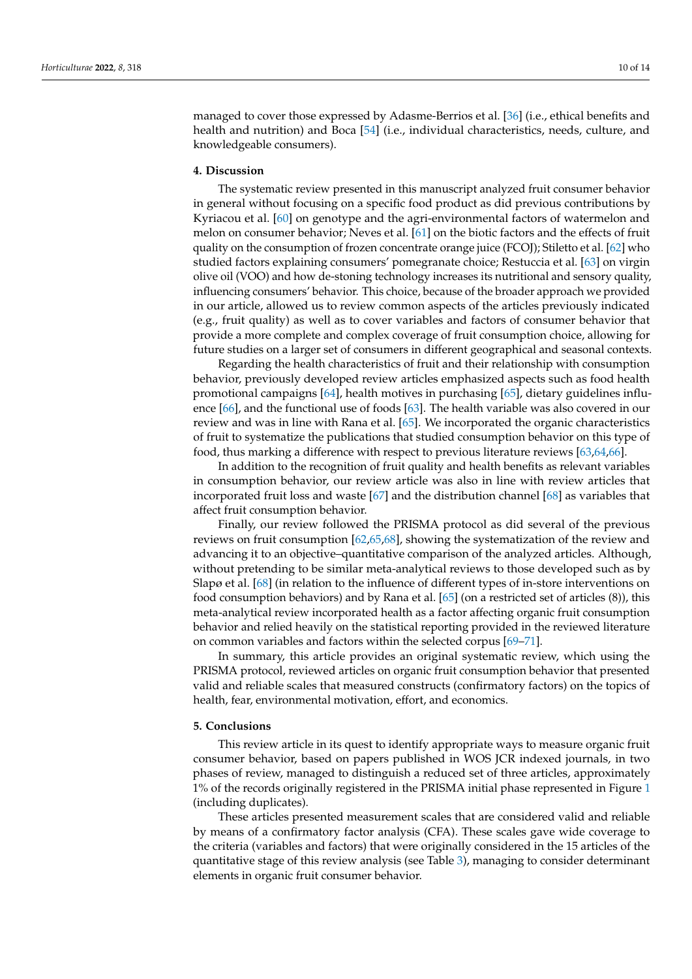managed to cover those expressed by Adasme-Berrios et al. [36] (i.e., ethical benefits and health and nutrition) and Boca [54] (i.e., individual characteristics, needs, culture, and knowledgeable consumers).

#### **4. Discussion**

The systematic review presented in this manuscript analyzed fruit consumer behavior in general without focusing on a specific food product as did previous contributions by Kyriacou et al. [60] on genotype and the agri-environmental factors of watermelon and melon on consumer behavior; Neves et al. [61] on the biotic factors and the effects of fruit quality on the consumption of frozen concentrate orange juice (FCOJ); Stiletto et al. [62] who studied factors explaining consumers' pomegranate choice; Restuccia et al. [63] on virgin olive oil (VOO) and how de-stoning technology increases its nutritional and sensory quality, influencing consumers' behavior. This choice, because of the broader approach we provided in our article, allowed us to review common aspects of the articles previously indicated (e.g., fruit quality) as well as to cover variables and factors of consumer behavior that provide a more complete and complex coverage of fruit consumption choice, allowing for future studies on a larger set of consumers in different geographical and seasonal contexts.

Regarding the health characteristics of fruit and their relationship with consumption behavior, previously developed review articles emphasized aspects such as food health promotional campaigns [64], health motives in purchasing [65], dietary guidelines influence [66], and the functional use of foods [63]. The health variable was also covered in our review and was in line with Rana et al. [65]. We incorporated the organic characteristics of fruit to systematize the publications that studied consumption behavior on this type of food, thus marking a difference with respect to previous literature reviews [63,64,66].

In addition to the recognition of fruit quality and health benefits as relevant variables in consumption behavior, our review article was also in line with review articles that incorporated fruit loss and waste [67] and the distribution channel [68] as variables that affect fruit consumption behavior.

Finally, our review followed the PRISMA protocol as did several of the previous reviews on fruit consumption [62,65,68], showing the systematization of the review and advancing it to an objective–quantitative comparison of the analyzed articles. Although, without pretending to be similar meta-analytical reviews to those developed such as by Slapø et al. [68] (in relation to the influence of different types of in-store interventions on food consumption behaviors) and by Rana et al. [65] (on a restricted set of articles (8)), this meta-analytical review incorporated health as a factor affecting organic fruit consumption behavior and relied heavily on the statistical reporting provided in the reviewed literature on common variables and factors within the selected corpus [69–71].

In summary, this article provides an original systematic review, which using the PRISMA protocol, reviewed articles on organic fruit consumption behavior that presented valid and reliable scales that measured constructs (confirmatory factors) on the topics of health, fear, environmental motivation, effort, and economics.

#### **5. Conclusions**

This review article in its quest to identify appropriate ways to measure organic fruit consumer behavior, based on papers published in WOS JCR indexed journals, in two phases of review, managed to distinguish a reduced set of three articles, approximately 1% of the records originally registered in the PRISMA initial phase represented in Figure 1 (including duplicates).

These articles presented measurement scales that are considered valid and reliable by means of a confirmatory factor analysis (CFA). These scales gave wide coverage to the criteria (variables and factors) that were originally considered in the 15 articles of the quantitative stage of this review analysis (see Table 3), managing to consider determinant elements in organic fruit consumer behavior.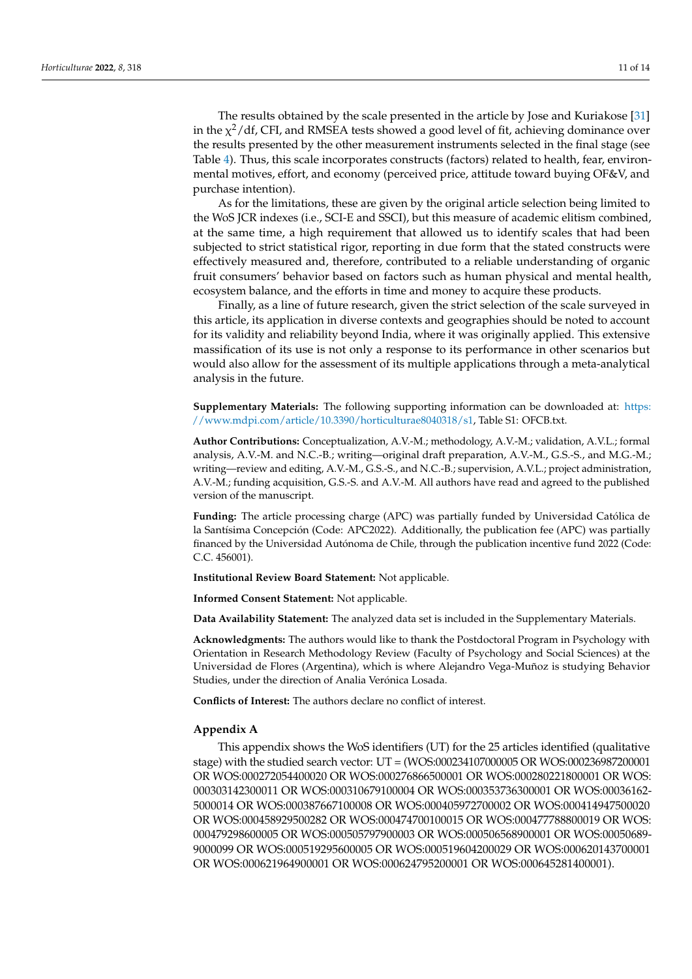The results obtained by the scale presented in the article by Jose and Kuriakose [31] in the  $\chi^2/\text{df}$ , CFI, and RMSEA tests showed a good level of fit, achieving dominance over the results presented by the other measurement instruments selected in the final stage (see Table 4). Thus, this scale incorporates constructs (factors) related to health, fear, environmental motives, effort, and economy (perceived price, attitude toward buying OF&V, and purchase intention).

As for the limitations, these are given by the original article selection being limited to the WoS JCR indexes (i.e., SCI-E and SSCI), but this measure of academic elitism combined, at the same time, a high requirement that allowed us to identify scales that had been subjected to strict statistical rigor, reporting in due form that the stated constructs were effectively measured and, therefore, contributed to a reliable understanding of organic fruit consumers' behavior based on factors such as human physical and mental health, ecosystem balance, and the efforts in time and money to acquire these products.

Finally, as a line of future research, given the strict selection of the scale surveyed in this article, its application in diverse contexts and geographies should be noted to account for its validity and reliability beyond India, where it was originally applied. This extensive massification of its use is not only a response to its performance in other scenarios but would also allow for the assessment of its multiple applications through a meta-analytical analysis in the future.

**Supplementary Materials:** The following supporting information can be downloaded at: [https:](https://www.mdpi.com/article/10.3390/horticulturae8040318/s1) [//www.mdpi.com/article/10.3390/horticulturae8040318/s1,](https://www.mdpi.com/article/10.3390/horticulturae8040318/s1) Table S1: OFCB.txt.

**Author Contributions:** Conceptualization, A.V.-M.; methodology, A.V.-M.; validation, A.V.L.; formal analysis, A.V.-M. and N.C.-B.; writing—original draft preparation, A.V.-M., G.S.-S., and M.G.-M.; writing—review and editing, A.V.-M., G.S.-S., and N.C.-B.; supervision, A.V.L.; project administration, A.V.-M.; funding acquisition, G.S.-S. and A.V.-M. All authors have read and agreed to the published version of the manuscript.

**Funding:** The article processing charge (APC) was partially funded by Universidad Católica de la Santísima Concepción (Code: APC2022). Additionally, the publication fee (APC) was partially financed by the Universidad Autónoma de Chile, through the publication incentive fund 2022 (Code: C.C. 456001).

**Institutional Review Board Statement:** Not applicable.

**Informed Consent Statement:** Not applicable.

**Data Availability Statement:** The analyzed data set is included in the Supplementary Materials.

**Acknowledgments:** The authors would like to thank the Postdoctoral Program in Psychology with Orientation in Research Methodology Review (Faculty of Psychology and Social Sciences) at the Universidad de Flores (Argentina), which is where Alejandro Vega-Muñoz is studying Behavior Studies, under the direction of Analia Verónica Losada.

**Conflicts of Interest:** The authors declare no conflict of interest.

# **Appendix A**

This appendix shows the WoS identifiers (UT) for the 25 articles identified (qualitative stage) with the studied search vector: UT = (WOS:000234107000005 OR WOS:000236987200001 OR WOS:000272054400020 OR WOS:000276866500001 OR WOS:000280221800001 OR WOS: 000303142300011 OR WOS:000310679100004 OR WOS:000353736300001 OR WOS:00036162- 5000014 OR WOS:000387667100008 OR WOS:000405972700002 OR WOS:000414947500020 OR WOS:000458929500282 OR WOS:000474700100015 OR WOS:000477788800019 OR WOS: 000479298600005 OR WOS:000505797900003 OR WOS:000506568900001 OR WOS:00050689- 9000099 OR WOS:000519295600005 OR WOS:000519604200029 OR WOS:000620143700001 OR WOS:000621964900001 OR WOS:000624795200001 OR WOS:000645281400001).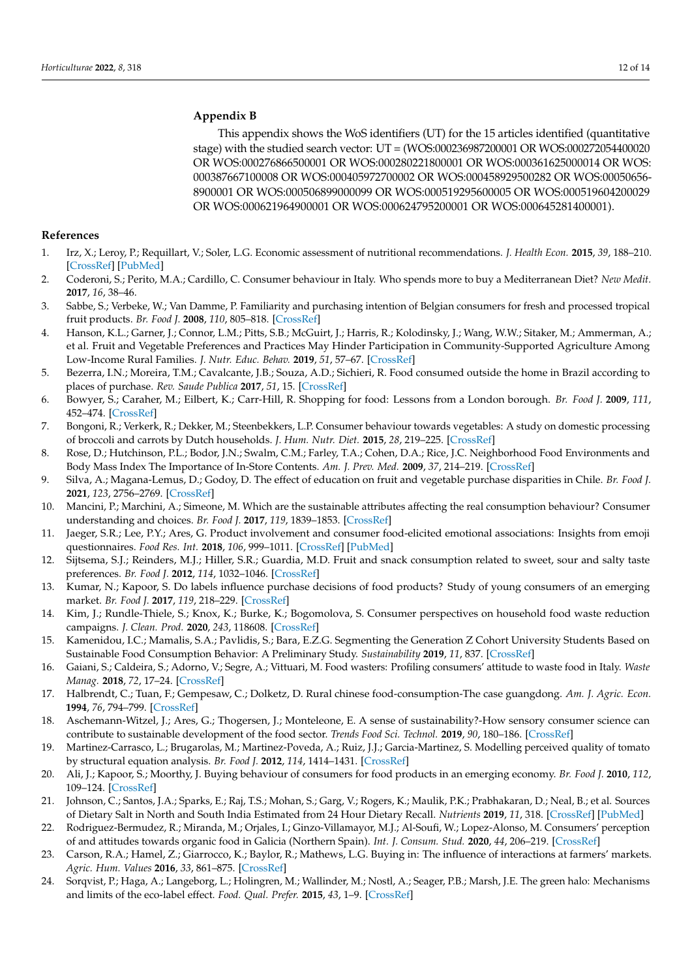# **Appendix B**

This appendix shows the WoS identifiers (UT) for the 15 articles identified (quantitative stage) with the studied search vector: UT = (WOS:000236987200001 OR WOS:000272054400020 OR WOS:000276866500001 OR WOS:000280221800001 OR WOS:000361625000014 OR WOS: 000387667100008 OR WOS:000405972700002 OR WOS:000458929500282 OR WOS:00050656- 8900001 OR WOS:000506899000099 OR WOS:000519295600005 OR WOS:000519604200029 OR WOS:000621964900001 OR WOS:000624795200001 OR WOS:000645281400001).

#### **References**

- 1. Irz, X.; Leroy, P.; Requillart, V.; Soler, L.G. Economic assessment of nutritional recommendations. *J. Health Econ.* **2015**, *39*, 188–210. [\[CrossRef\]](http://doi.org/10.1016/j.jhealeco.2014.09.002) [\[PubMed\]](http://www.ncbi.nlm.nih.gov/pubmed/25443618)
- 2. Coderoni, S.; Perito, M.A.; Cardillo, C. Consumer behaviour in Italy. Who spends more to buy a Mediterranean Diet? *New Medit.* **2017**, *16*, 38–46.
- 3. Sabbe, S.; Verbeke, W.; Van Damme, P. Familiarity and purchasing intention of Belgian consumers for fresh and processed tropical fruit products. *Br. Food J.* **2008**, *110*, 805–818. [\[CrossRef\]](http://doi.org/10.1108/00070700810893331)
- 4. Hanson, K.L.; Garner, J.; Connor, L.M.; Pitts, S.B.; McGuirt, J.; Harris, R.; Kolodinsky, J.; Wang, W.W.; Sitaker, M.; Ammerman, A.; et al. Fruit and Vegetable Preferences and Practices May Hinder Participation in Community-Supported Agriculture Among Low-Income Rural Families. *J. Nutr. Educ. Behav.* **2019**, *51*, 57–67. [\[CrossRef\]](http://doi.org/10.1016/j.jneb.2018.08.006)
- 5. Bezerra, I.N.; Moreira, T.M.; Cavalcante, J.B.; Souza, A.D.; Sichieri, R. Food consumed outside the home in Brazil according to places of purchase. *Rev. Saude Publica* **2017**, *51*, 15. [\[CrossRef\]](http://doi.org/10.1590/s1518-8787.2017051006750)
- 6. Bowyer, S.; Caraher, M.; Eilbert, K.; Carr-Hill, R. Shopping for food: Lessons from a London borough. *Br. Food J.* **2009**, *111*, 452–474. [\[CrossRef\]](http://doi.org/10.1108/00070700910957294)
- 7. Bongoni, R.; Verkerk, R.; Dekker, M.; Steenbekkers, L.P. Consumer behaviour towards vegetables: A study on domestic processing of broccoli and carrots by Dutch households. *J. Hum. Nutr. Diet.* **2015**, *28*, 219–225. [\[CrossRef\]](http://doi.org/10.1111/jhn.12245)
- 8. Rose, D.; Hutchinson, P.L.; Bodor, J.N.; Swalm, C.M.; Farley, T.A.; Cohen, D.A.; Rice, J.C. Neighborhood Food Environments and Body Mass Index The Importance of In-Store Contents. *Am. J. Prev. Med.* **2009**, *37*, 214–219. [\[CrossRef\]](http://doi.org/10.1016/j.amepre.2009.04.024)
- 9. Silva, A.; Magana-Lemus, D.; Godoy, D. The effect of education on fruit and vegetable purchase disparities in Chile. *Br. Food J.* **2021**, *123*, 2756–2769. [\[CrossRef\]](http://doi.org/10.1108/BFJ-12-2020-1184)
- 10. Mancini, P.; Marchini, A.; Simeone, M. Which are the sustainable attributes affecting the real consumption behaviour? Consumer understanding and choices. *Br. Food J.* **2017**, *119*, 1839–1853. [\[CrossRef\]](http://doi.org/10.1108/BFJ-11-2016-0574)
- 11. Jaeger, S.R.; Lee, P.Y.; Ares, G. Product involvement and consumer food-elicited emotional associations: Insights from emoji questionnaires. *Food Res. Int.* **2018**, *106*, 999–1011. [\[CrossRef\]](http://doi.org/10.1016/j.foodres.2018.01.024) [\[PubMed\]](http://www.ncbi.nlm.nih.gov/pubmed/29580015)
- 12. Sijtsema, S.J.; Reinders, M.J.; Hiller, S.R.; Guardia, M.D. Fruit and snack consumption related to sweet, sour and salty taste preferences. *Br. Food J.* **2012**, *114*, 1032–1046. [\[CrossRef\]](http://doi.org/10.1108/00070701211241608)
- 13. Kumar, N.; Kapoor, S. Do labels influence purchase decisions of food products? Study of young consumers of an emerging market. *Br. Food J.* **2017**, *119*, 218–229. [\[CrossRef\]](http://doi.org/10.1108/BFJ-06-2016-0249)
- 14. Kim, J.; Rundle-Thiele, S.; Knox, K.; Burke, K.; Bogomolova, S. Consumer perspectives on household food waste reduction campaigns. *J. Clean. Prod.* **2020**, *243*, 118608. [\[CrossRef\]](http://doi.org/10.1016/j.jclepro.2019.118608)
- 15. Kamenidou, I.C.; Mamalis, S.A.; Pavlidis, S.; Bara, E.Z.G. Segmenting the Generation Z Cohort University Students Based on Sustainable Food Consumption Behavior: A Preliminary Study. *Sustainability* **2019**, *11*, 837. [\[CrossRef\]](http://doi.org/10.3390/su11030837)
- 16. Gaiani, S.; Caldeira, S.; Adorno, V.; Segre, A.; Vittuari, M. Food wasters: Profiling consumers' attitude to waste food in Italy. *Waste Manag.* **2018**, *72*, 17–24. [\[CrossRef\]](http://doi.org/10.1016/j.wasman.2017.11.012)
- 17. Halbrendt, C.; Tuan, F.; Gempesaw, C.; Dolketz, D. Rural chinese food-consumption-The case guangdong. *Am. J. Agric. Econ.* **1994**, *76*, 794–799. [\[CrossRef\]](http://doi.org/10.2307/1243740)
- 18. Aschemann-Witzel, J.; Ares, G.; Thogersen, J.; Monteleone, E. A sense of sustainability?-How sensory consumer science can contribute to sustainable development of the food sector. *Trends Food Sci. Technol.* **2019**, *90*, 180–186. [\[CrossRef\]](http://doi.org/10.1016/j.tifs.2019.02.021)
- 19. Martinez-Carrasco, L.; Brugarolas, M.; Martinez-Poveda, A.; Ruiz, J.J.; Garcia-Martinez, S. Modelling perceived quality of tomato by structural equation analysis. *Br. Food J.* **2012**, *114*, 1414–1431. [\[CrossRef\]](http://doi.org/10.1108/00070701211262993)
- 20. Ali, J.; Kapoor, S.; Moorthy, J. Buying behaviour of consumers for food products in an emerging economy. *Br. Food J.* **2010**, *112*, 109–124. [\[CrossRef\]](http://doi.org/10.1108/00070701011018806)
- 21. Johnson, C.; Santos, J.A.; Sparks, E.; Raj, T.S.; Mohan, S.; Garg, V.; Rogers, K.; Maulik, P.K.; Prabhakaran, D.; Neal, B.; et al. Sources of Dietary Salt in North and South India Estimated from 24 Hour Dietary Recall. *Nutrients* **2019**, *11*, 318. [\[CrossRef\]](http://doi.org/10.3390/nu11020318) [\[PubMed\]](http://www.ncbi.nlm.nih.gov/pubmed/30717304)
- 22. Rodriguez-Bermudez, R.; Miranda, M.; Orjales, I.; Ginzo-Villamayor, M.J.; Al-Soufi, W.; Lopez-Alonso, M. Consumers' perception of and attitudes towards organic food in Galicia (Northern Spain). *Int. J. Consum. Stud.* **2020**, *44*, 206–219. [\[CrossRef\]](http://doi.org/10.1111/ijcs.12557)
- 23. Carson, R.A.; Hamel, Z.; Giarrocco, K.; Baylor, R.; Mathews, L.G. Buying in: The influence of interactions at farmers' markets. *Agric. Hum. Values* **2016**, *33*, 861–875. [\[CrossRef\]](http://doi.org/10.1007/s10460-015-9675-y)
- 24. Sorqvist, P.; Haga, A.; Langeborg, L.; Holingren, M.; Wallinder, M.; Nostl, A.; Seager, P.B.; Marsh, J.E. The green halo: Mechanisms and limits of the eco-label effect. *Food. Qual. Prefer.* **2015**, *43*, 1–9. [\[CrossRef\]](http://doi.org/10.1016/j.foodqual.2015.02.001)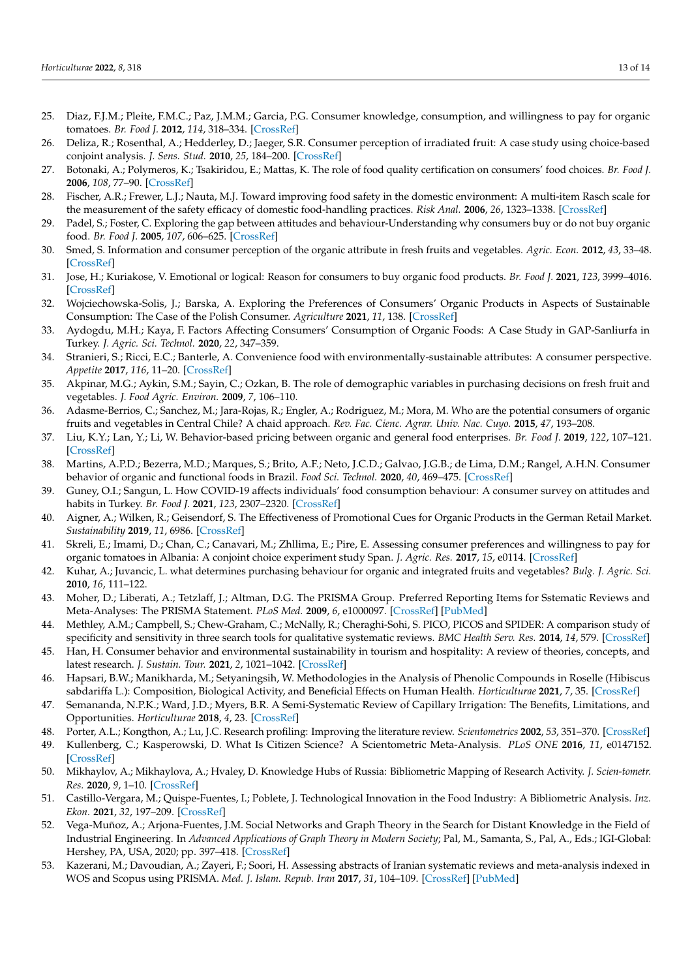- 25. Diaz, F.J.M.; Pleite, F.M.C.; Paz, J.M.M.; Garcia, P.G. Consumer knowledge, consumption, and willingness to pay for organic tomatoes. *Br. Food J.* **2012**, *114*, 318–334. [\[CrossRef\]](http://doi.org/10.1108/00070701211213447)
- 26. Deliza, R.; Rosenthal, A.; Hedderley, D.; Jaeger, S.R. Consumer perception of irradiated fruit: A case study using choice-based conjoint analysis. *J. Sens. Stud.* **2010**, *25*, 184–200. [\[CrossRef\]](http://doi.org/10.1111/j.1745-459X.2009.00250.x)
- 27. Botonaki, A.; Polymeros, K.; Tsakiridou, E.; Mattas, K. The role of food quality certification on consumers' food choices. *Br. Food J.* **2006**, *108*, 77–90. [\[CrossRef\]](http://doi.org/10.1108/00070700610644906)
- 28. Fischer, A.R.; Frewer, L.J.; Nauta, M.J. Toward improving food safety in the domestic environment: A multi-item Rasch scale for the measurement of the safety efficacy of domestic food-handling practices. *Risk Anal.* **2006**, *26*, 1323–1338. [\[CrossRef\]](http://doi.org/10.1111/j.1539-6924.2006.00813.x)
- 29. Padel, S.; Foster, C. Exploring the gap between attitudes and behaviour-Understanding why consumers buy or do not buy organic food. *Br. Food J.* **2005**, *107*, 606–625. [\[CrossRef\]](http://doi.org/10.1108/00070700510611002)
- 30. Smed, S. Information and consumer perception of the organic attribute in fresh fruits and vegetables. *Agric. Econ.* **2012**, *43*, 33–48. [\[CrossRef\]](http://doi.org/10.1111/j.1574-0862.2012.00618.x)
- 31. Jose, H.; Kuriakose, V. Emotional or logical: Reason for consumers to buy organic food products. *Br. Food J.* **2021**, *123*, 3999–4016. [\[CrossRef\]](http://doi.org/10.1108/BFJ-10-2020-0916)
- 32. Wojciechowska-Solis, J.; Barska, A. Exploring the Preferences of Consumers' Organic Products in Aspects of Sustainable Consumption: The Case of the Polish Consumer. *Agriculture* **2021**, *11*, 138. [\[CrossRef\]](http://doi.org/10.3390/agriculture11020138)
- 33. Aydogdu, M.H.; Kaya, F. Factors Affecting Consumers' Consumption of Organic Foods: A Case Study in GAP-Sanliurfa in Turkey. *J. Agric. Sci. Technol.* **2020**, *22*, 347–359.
- 34. Stranieri, S.; Ricci, E.C.; Banterle, A. Convenience food with environmentally-sustainable attributes: A consumer perspective. *Appetite* **2017**, *116*, 11–20. [\[CrossRef\]](http://doi.org/10.1016/j.appet.2017.04.015)
- 35. Akpinar, M.G.; Aykin, S.M.; Sayin, C.; Ozkan, B. The role of demographic variables in purchasing decisions on fresh fruit and vegetables. *J. Food Agric. Environ.* **2009**, *7*, 106–110.
- 36. Adasme-Berrios, C.; Sanchez, M.; Jara-Rojas, R.; Engler, A.; Rodriguez, M.; Mora, M. Who are the potential consumers of organic fruits and vegetables in Central Chile? A chaid approach. *Rev. Fac. Cienc. Agrar. Univ. Nac. Cuyo.* **2015**, *47*, 193–208.
- 37. Liu, K.Y.; Lan, Y.; Li, W. Behavior-based pricing between organic and general food enterprises. *Br. Food J.* **2019**, *122*, 107–121. [\[CrossRef\]](http://doi.org/10.1108/BFJ-08-2018-0500)
- 38. Martins, A.P.D.; Bezerra, M.D.; Marques, S.; Brito, A.F.; Neto, J.C.D.; Galvao, J.G.B.; de Lima, D.M.; Rangel, A.H.N. Consumer behavior of organic and functional foods in Brazil. *Food Sci. Technol.* **2020**, *40*, 469–475. [\[CrossRef\]](http://doi.org/10.1590/fst.03519)
- 39. Guney, O.I.; Sangun, L. How COVID-19 affects individuals' food consumption behaviour: A consumer survey on attitudes and habits in Turkey. *Br. Food J.* **2021**, *123*, 2307–2320. [\[CrossRef\]](http://doi.org/10.1108/BFJ-10-2020-0949)
- 40. Aigner, A.; Wilken, R.; Geisendorf, S. The Effectiveness of Promotional Cues for Organic Products in the German Retail Market. *Sustainability* **2019**, *11*, 6986. [\[CrossRef\]](http://doi.org/10.3390/su11246986)
- 41. Skreli, E.; Imami, D.; Chan, C.; Canavari, M.; Zhllima, E.; Pire, E. Assessing consumer preferences and willingness to pay for organic tomatoes in Albania: A conjoint choice experiment study Span. *J. Agric. Res.* **2017**, *15*, e0114. [\[CrossRef\]](http://doi.org/10.5424/sjar/2017153-9889)
- 42. Kuhar, A.; Juvancic, L. what determines purchasing behaviour for organic and integrated fruits and vegetables? *Bulg. J. Agric. Sci.* **2010**, *16*, 111–122.
- 43. Moher, D.; Liberati, A.; Tetzlaff, J.; Altman, D.G. The PRISMA Group. Preferred Reporting Items for Sstematic Reviews and Meta-Analyses: The PRISMA Statement. *PLoS Med.* **2009**, *6*, e1000097. [\[CrossRef\]](http://doi.org/10.1371/journal.pmed.1000097) [\[PubMed\]](http://www.ncbi.nlm.nih.gov/pubmed/19621072)
- 44. Methley, A.M.; Campbell, S.; Chew-Graham, C.; McNally, R.; Cheraghi-Sohi, S. PICO, PICOS and SPIDER: A comparison study of specificity and sensitivity in three search tools for qualitative systematic reviews. *BMC Health Serv. Res.* **2014**, *14*, 579. [\[CrossRef\]](http://doi.org/10.1186/s12913-014-0579-0)
- 45. Han, H. Consumer behavior and environmental sustainability in tourism and hospitality: A review of theories, concepts, and latest research. *J. Sustain. Tour.* **2021**, *2*, 1021–1042. [\[CrossRef\]](http://doi.org/10.1080/09669582.2021.1903019)
- 46. Hapsari, B.W.; Manikharda, M.; Setyaningsih, W. Methodologies in the Analysis of Phenolic Compounds in Roselle (Hibiscus sabdariffa L.): Composition, Biological Activity, and Beneficial Effects on Human Health. *Horticulturae* **2021**, *7*, 35. [\[CrossRef\]](http://doi.org/10.3390/horticulturae7020035)
- 47. Semananda, N.P.K.; Ward, J.D.; Myers, B.R. A Semi-Systematic Review of Capillary Irrigation: The Benefits, Limitations, and Opportunities. *Horticulturae* **2018**, *4*, 23. [\[CrossRef\]](http://doi.org/10.3390/horticulturae4030023)
- 48. Porter, A.L.; Kongthon, A.; Lu, J.C. Research profiling: Improving the literature review. *Scientometrics* **2002**, *53*, 351–370. [\[CrossRef\]](http://doi.org/10.1023/A:1014873029258)
- 49. Kullenberg, C.; Kasperowski, D. What Is Citizen Science? A Scientometric Meta-Analysis. *PLoS ONE* **2016**, *11*, e0147152. [\[CrossRef\]](http://doi.org/10.1371/journal.pone.0147152)
- 50. Mikhaylov, A.; Mikhaylova, A.; Hvaley, D. Knowledge Hubs of Russia: Bibliometric Mapping of Research Activity. *J. Scien-tometr. Res.* **2020**, *9*, 1–10. [\[CrossRef\]](http://doi.org/10.5530/jscires.9.1.1)
- 51. Castillo-Vergara, M.; Quispe-Fuentes, I.; Poblete, J. Technological Innovation in the Food Industry: A Bibliometric Analysis. *Inz. Ekon.* **2021**, *32*, 197–209. [\[CrossRef\]](http://doi.org/10.5755/j01.ee.32.3.26000)
- 52. Vega-Muñoz, A.; Arjona-Fuentes, J.M. Social Networks and Graph Theory in the Search for Distant Knowledge in the Field of Industrial Engineering. In *Advanced Applications of Graph Theory in Modern Society*; Pal, M., Samanta, S., Pal, A., Eds.; IGI-Global: Hershey, PA, USA, 2020; pp. 397–418. [\[CrossRef\]](http://doi.org/10.4018/978-1-5225-9380-5.ch017)
- 53. Kazerani, M.; Davoudian, A.; Zayeri, F.; Soori, H. Assessing abstracts of Iranian systematic reviews and meta-analysis indexed in WOS and Scopus using PRISMA. *Med. J. Islam. Repub. Iran* **2017**, *31*, 104–109. [\[CrossRef\]](http://doi.org/10.18869/mjiri.31.18) [\[PubMed\]](http://www.ncbi.nlm.nih.gov/pubmed/28955668)